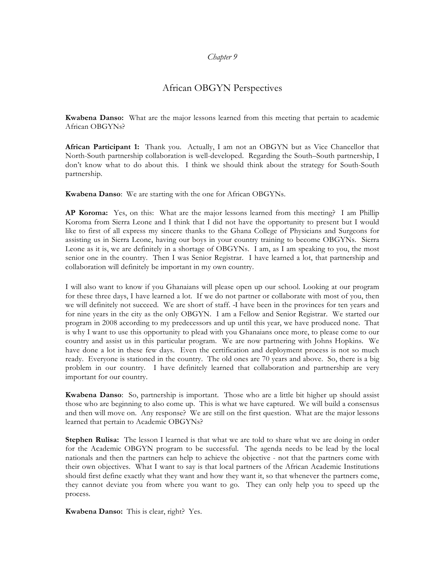## *Chapter 9*

# African OBGYN Perspectives

**Kwabena Danso:** What are the major lessons learned from this meeting that pertain to academic African OBGYNs?

**African Participant 1:** Thank you. Actually, I am not an OBGYN but as Vice Chancellor that North-South partnership collaboration is well-developed. Regarding the South–South partnership, I don't know what to do about this. I think we should think about the strategy for South-South partnership.

**Kwabena Danso**: We are starting with the one for African OBGYNs.

**AP Koroma:** Yes, on this: What are the major lessons learned from this meeting? I am Phillip Koroma from Sierra Leone and I think that I did not have the opportunity to present but I would like to first of all express my sincere thanks to the Ghana College of Physicians and Surgeons for assisting us in Sierra Leone, having our boys in your country training to become OBGYNs. Sierra Leone as it is, we are definitely in a shortage of OBGYNs. I am, as I am speaking to you, the most senior one in the country. Then I was Senior Registrar. I have learned a lot, that partnership and collaboration will definitely be important in my own country.

I will also want to know if you Ghanaians will please open up our school. Looking at our program for these three days, I have learned a lot. If we do not partner or collaborate with most of you, then we will definitely not succeed. We are short of staff. I have been in the provinces for ten years and for nine years in the city as the only OBGYN. I am a Fellow and Senior Registrar. We started our program in 2008 according to my predecessors and up until this year, we have produced none. That is why I want to use this opportunity to plead with you Ghanaians once more, to please come to our country and assist us in this particular program. We are now partnering with Johns Hopkins. We have done a lot in these few days. Even the certification and deployment process is not so much ready. Everyone is stationed in the country. The old ones are 70 years and above. So, there is a big problem in our country. I have definitely learned that collaboration and partnership are very important for our country.

**Kwabena Danso**: So, partnership is important. Those who are a little bit higher up should assist those who are beginning to also come up. This is what we have captured. We will build a consensus and then will move on. Any response? We are still on the first question. What are the major lessons learned that pertain to Academic OBGYNs?

**Stephen Rulisa:** The lesson I learned is that what we are told to share what we are doing in order for the Academic OBGYN program to be successful. The agenda needs to be lead by the local nationals and then the partners can help to achieve the objective - not that the partners come with their own objectives. What I want to say is that local partners of the African Academic Institutions should first define exactly what they want and how they want it, so that whenever the partners come, they cannot deviate you from where you want to go. They can only help you to speed up the process.

**Kwabena Danso:** This is clear, right? Yes.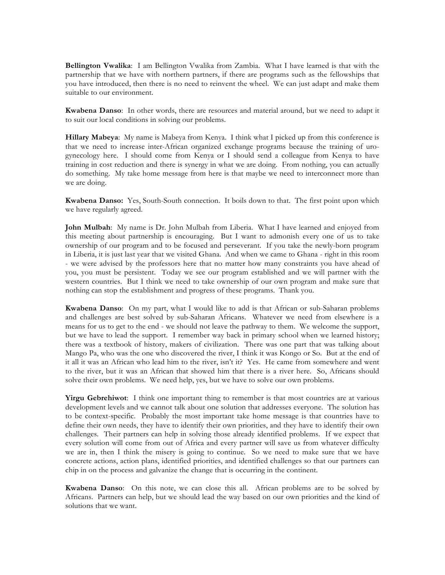**Bellington Vwalika**: I am Bellington Vwalika from Zambia. What I have learned is that with the partnership that we have with northern partners, if there are programs such as the fellowships that you have introduced, then there is no need to reinvent the wheel. We can just adapt and make them suitable to our environment.

**Kwabena Danso**: In other words, there are resources and material around, but we need to adapt it to suit our local conditions in solving our problems.

**Hillary Mabeya**: My name is Mabeya from Kenya. I think what I picked up from this conference is that we need to increase inter-African organized exchange programs because the training of urogynecology here. I should come from Kenya or I should send a colleague from Kenya to have training in cost reduction and there is synergy in what we are doing. From nothing, you can actually do something. My take home message from here is that maybe we need to interconnect more than we are doing.

**Kwabena Danso:** Yes, South-South connection. It boils down to that. The first point upon which we have regularly agreed.

**John Mulbah**: My name is Dr. John Mulbah from Liberia. What I have learned and enjoyed from this meeting about partnership is encouraging. But I want to admonish every one of us to take ownership of our program and to be focused and perseverant. If you take the newly-born program in Liberia, it is just last year that we visited Ghana. And when we came to Ghana - right in this room - we were advised by the professors here that no matter how many constraints you have ahead of you, you must be persistent. Today we see our program established and we will partner with the western countries. But I think we need to take ownership of our own program and make sure that nothing can stop the establishment and progress of these programs. Thank you.

**Kwabena Danso**: On my part, what I would like to add is that African or sub-Saharan problems and challenges are best solved by sub-Saharan Africans. Whatever we need from elsewhere is a means for us to get to the end - we should not leave the pathway to them. We welcome the support, but we have to lead the support. I remember way back in primary school when we learned history; there was a textbook of history, makers of civilization. There was one part that was talking about Mango Pa, who was the one who discovered the river, I think it was Kongo or So. But at the end of it all it was an African who lead him to the river, isn't it? Yes. He came from somewhere and went to the river, but it was an African that showed him that there is a river here. So, Africans should solve their own problems. We need help, yes, but we have to solve our own problems.

**Yirgu Gebrehiwot**: I think one important thing to remember is that most countries are at various development levels and we cannot talk about one solution that addresses everyone. The solution has to be context-specific. Probably the most important take home message is that countries have to define their own needs, they have to identify their own priorities, and they have to identify their own challenges. Their partners can help in solving those already identified problems. If we expect that every solution will come from out of Africa and every partner will save us from whatever difficulty we are in, then I think the misery is going to continue. So we need to make sure that we have concrete actions, action plans, identified priorities, and identified challenges so that our partners can chip in on the process and galvanize the change that is occurring in the continent.

**Kwabena Danso**: On this note, we can close this all. African problems are to be solved by Africans. Partners can help, but we should lead the way based on our own priorities and the kind of solutions that we want.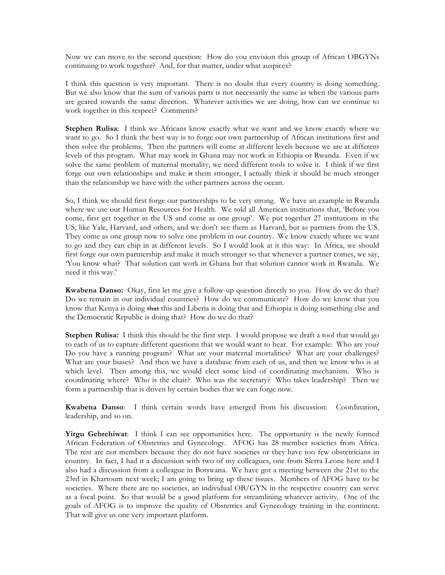Now we can move to the second question: How do you envision this group of African OBGYNs continuing to work together? And, for that matter, under what auspices?

I think this question is very important. There is no doubt that every country is doing something. But we also know that the sum of various parts is not necessarily the same as when the various parts are geared towards the same direction. Whatever activities we are doing, how can we continue to work together in this respect? Comments?

**Stephen Rulisa**: I think we Africans know exactly what we want and we know exactly where we want to go. So I think the best way is to forge our own partnership of African institutions first and then solve the problems. Then the partners will come at different levels because we are at different levels of this program. What may work in Ghana may not work in Ethiopia or Rwanda. Even if we solve the same problem of maternal mortality, we need different tools to solve it. I think if we first forge our own relationships and make it them stronger, I actually think it should be much stronger than the relationship we have with the other partners across the ocean.

So, I think we should first forge our partnerships to be very strong. We have an example in Rwanda where we use our Human Resources for Health. We told all American institutions that, 'Before you come, first get together in the US and come as one group'. We put together 27 institutions in the US, like Yale, Harvard, and others, and we don't see them as Harvard, but as partners from the US. They come as one group now to solve one problem in our country. We know exactly where we want to go and they can chip in at different levels. So I would look at it this way: In Africa, we should first forge our own partnership and make it much stronger so that whenever a partner comes, we say, 'You know what? That solution can work in Ghana but that solution cannot work in Rwanda. We need it this way.'

**Kwabena Danso:** Okay, first let me give a follow-up question directly to you. How do we do that? Do we remain in our individual countries? How do we communicate? How do we know that you know that Kenya is doing that this and Liberia is doing that and Ethiopia is doing something else and the Democratic Republic is doing that? How do we do that?

**Stephen Rulisa:** I think this should be the first step. I would propose we draft a tool that would go to each of us to capture different questions that we would want to hear. For example: Who are you? Do you have a running program? What are your maternal mortalities? What are your challenges? What are your biases? And then we have a database from each of us, and then we know who is at which level. Then among this, we would elect some kind of coordinating mechanism. Who is coordinating where? Who is the chair? Who was the secretary? Who takes leadership? Then we form a partnership that is driven by certain bodies that we can forge now.

**Kwabena Danso**: I think certain words have emerged from his discussion: Coordination, leadership, and so on.

**Yirgu Gebrehiwat**: I think I can see opportunities here. The opportunity is the newly formed African Federation of Obstetrics and Gynecology. AFOG has 28 member societies from Africa. The rest are not members because they do not have societies or they have too few obstetricians in country. In fact, I had it a discussion with two of my colleagues, one from Sierra Leone here and I also had a discussion from a colleague in Botswana. We have got a meeting between the 21st to the 23rd in Khartoum next week; I am going to bring up these issues. Members of AFOG have to be societies. Where there are no societies, an individual OB/GYN in the respective country can serve as a focal point. So that would be a good platform for streamlining whatever activity. One of the goals of AFOG is to improve the quality of Obstetrics and Gynecology training in the continent. That will give us one very important platform.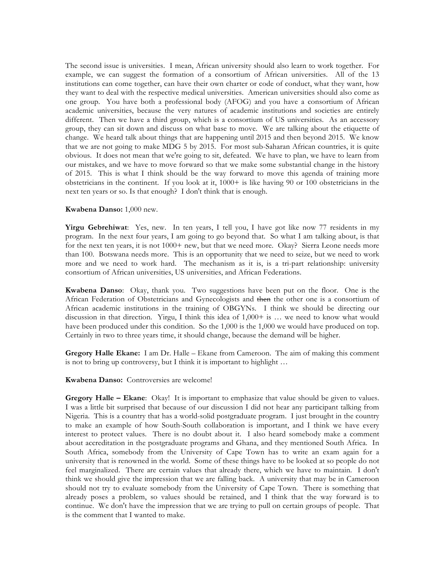The second issue is universities. I mean, African university should also learn to work together. For example, we can suggest the formation of a consortium of African universities. All of the 13 institutions can come together, can have their own charter or code of conduct, what they want, how they want to deal with the respective medical universities. American universities should also come as one group. You have both a professional body (AFOG) and you have a consortium of African academic universities, because the very natures of academic institutions and societies are entirely different. Then we have a third group, which is a consortium of US universities. As an accessory group, they can sit down and discuss on what base to move. We are talking about the etiquette of change. We heard talk about things that are happening until 2015 and then beyond 2015. We know that we are not going to make MDG 5 by 2015. For most sub-Saharan African countries, it is quite obvious. It does not mean that we're going to sit, defeated. We have to plan, we have to learn from our mistakes, and we have to move forward so that we make some substantial change in the history of 2015. This is what I think should be the way forward to move this agenda of training more obstetricians in the continent. If you look at it, 1000+ is like having 90 or 100 obstetricians in the next ten years or so. Is that enough? I don't think that is enough.

#### **Kwabena Danso:** 1,000 new.

**Yirgu Gebrehiwat**: Yes, new. In ten years, I tell you, I have got like now 77 residents in my program. In the next four years, I am going to go beyond that. So what I am talking about, is that for the next ten years, it is not 1000+ new, but that we need more. Okay? Sierra Leone needs more than 100. Botswana needs more. This is an opportunity that we need to seize, but we need to work more and we need to work hard. The mechanism as it is, is a tri-part relationship: university consortium of African universities, US universities, and African Federations.

**Kwabena Danso**: Okay, thank you. Two suggestions have been put on the floor. One is the African Federation of Obstetricians and Gynecologists and then the other one is a consortium of African academic institutions in the training of OBGYNs. I think we should be directing our discussion in that direction. Yirgu, I think this idea of 1,000+ is … we need to know what would have been produced under this condition. So the 1,000 is the 1,000 we would have produced on top. Certainly in two to three years time, it should change, because the demand will be higher.

**Gregory Halle Ekane:** I am Dr. Halle – Ekane from Cameroon. The aim of making this comment is not to bring up controversy, but I think it is important to highlight …

**Kwabena Danso:** Controversies are welcome!

**Gregory Halle – Ekane**: Okay! It is important to emphasize that value should be given to values. I was a little bit surprised that because of our discussion I did not hear any participant talking from Nigeria. This is a country that has a world-solid postgraduate program. I just brought in the country to make an example of how South-South collaboration is important, and I think we have every interest to protect values. There is no doubt about it. I also heard somebody make a comment about accreditation in the postgraduate programs and Ghana, and they mentioned South Africa. In South Africa, somebody from the University of Cape Town has to write an exam again for a university that is renowned in the world. Some of these things have to be looked at so people do not feel marginalized. There are certain values that already there, which we have to maintain. I don't think we should give the impression that we are falling back. A university that may be in Cameroon should not try to evaluate somebody from the University of Cape Town. There is something that already poses a problem, so values should be retained, and I think that the way forward is to continue. We don't have the impression that we are trying to pull on certain groups of people. That is the comment that I wanted to make.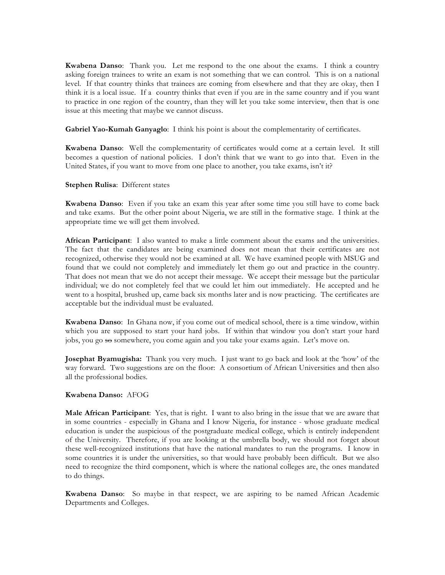**Kwabena Danso**: Thank you. Let me respond to the one about the exams. I think a country asking foreign trainees to write an exam is not something that we can control. This is on a national level. If that country thinks that trainees are coming from elsewhere and that they are okay, then I think it is a local issue. If a country thinks that even if you are in the same country and if you want to practice in one region of the country, than they will let you take some interview, then that is one issue at this meeting that maybe we cannot discuss.

**Gabriel Yao-Kumah Ganyaglo**: I think his point is about the complementarity of certificates.

**Kwabena Danso**: Well the complementarity of certificates would come at a certain level. It still becomes a question of national policies. I don't think that we want to go into that. Even in the United States, if you want to move from one place to another, you take exams, isn't it?

#### **Stephen Rulisa**: Different states

**Kwabena Danso**: Even if you take an exam this year after some time you still have to come back and take exams. But the other point about Nigeria, we are still in the formative stage. I think at the appropriate time we will get them involved.

**African Participant**: I also wanted to make a little comment about the exams and the universities. The fact that the candidates are being examined does not mean that their certificates are not recognized, otherwise they would not be examined at all. We have examined people with MSUG and found that we could not completely and immediately let them go out and practice in the country. That does not mean that we do not accept their message. We accept their message but the particular individual; we do not completely feel that we could let him out immediately. He accepted and he went to a hospital, brushed up, came back six months later and is now practicing. The certificates are acceptable but the individual must be evaluated.

**Kwabena Danso**: In Ghana now, if you come out of medical school, there is a time window, within which you are supposed to start your hard jobs. If within that window you don't start your hard jobs, you go so somewhere, you come again and you take your exams again. Let's move on.

**Josephat Byamugisha:** Thank you very much. I just want to go back and look at the 'how' of the way forward. Two suggestions are on the floor: A consortium of African Universities and then also all the professional bodies.

### **Kwabena Danso:** AFOG

**Male African Participant**: Yes, that is right. I want to also bring in the issue that we are aware that in some countries - especially in Ghana and I know Nigeria, for instance - whose graduate medical education is under the auspicious of the postgraduate medical college, which is entirely independent of the University. Therefore, if you are looking at the umbrella body, we should not forget about these well-recognized institutions that have the national mandates to run the programs. I know in some countries it is under the universities, so that would have probably been difficult. But we also need to recognize the third component, which is where the national colleges are, the ones mandated to do things.

**Kwabena Danso**: So maybe in that respect, we are aspiring to be named African Academic Departments and Colleges.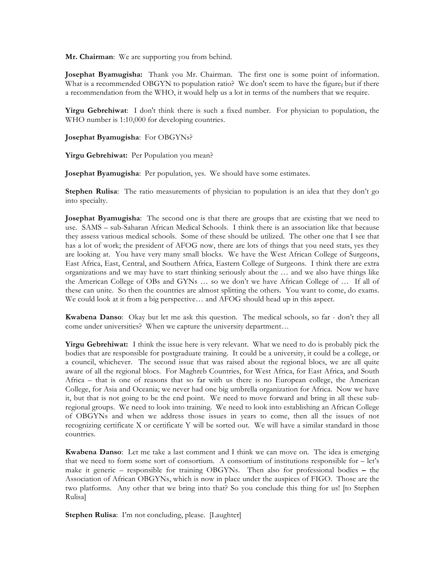**Mr. Chairman**: We are supporting you from behind.

**Josephat Byamugisha:** Thank you Mr. Chairman. The first one is some point of information. What is a recommended OBGYN to population ratio? We don't seem to have the figure, but if there a recommendation from the WHO, it would help us a lot in terms of the numbers that we require.

**Yirgu Gebrehiwat**: I don't think there is such a fixed number. For physician to population, the WHO number is 1:10,000 for developing countries.

**Josephat Byamugisha**: For OBGYNs?

**Yirgu Gebrehiwat:** Per Population you mean?

**Josephat Byamugisha**: Per population, yes. We should have some estimates.

**Stephen Rulisa**: The ratio measurements of physician to population is an idea that they don't go into specialty.

**Josephat Byamugisha**: The second one is that there are groups that are existing that we need to use. SAMS – sub-Saharan African Medical Schools. I think there is an association like that because they assess various medical schools. Some of these should be utilized. The other one that I see that has a lot of work; the president of AFOG now, there are lots of things that you need stats, yes they are looking at. You have very many small blocks. We have the West African College of Surgeons, East Africa, East, Central, and Southern Africa, Eastern College of Surgeons. I think there are extra organizations and we may have to start thinking seriously about the … and we also have things like the American College of OBs and GYNs … so we don't we have African College of … If all of these can unite. So then the countries are almost splitting the others. You want to come, do exams. We could look at it from a big perspective… and AFOG should head up in this aspect.

**Kwabena Danso**: Okay but let me ask this question. The medical schools, so far - don't they all come under universities? When we capture the university department…

**Yirgu Gebrehiwat:** I think the issue here is very relevant. What we need to do is probably pick the bodies that are responsible for postgraduate training. It could be a university, it could be a college, or a council, whichever. The second issue that was raised about the regional blocs, we are all quite aware of all the regional blocs. For Maghreb Countries, for West Africa, for East Africa, and South Africa – that is one of reasons that so far with us there is no European college, the American College, for Asia and Oceania; we never had one big umbrella organization for Africa. Now we have it, but that is not going to be the end point. We need to move forward and bring in all these subregional groups. We need to look into training. We need to look into establishing an African College of OBGYNs and when we address those issues in years to come, then all the issues of not recognizing certificate X or certificate Y will be sorted out. We will have a similar standard in those countries.

**Kwabena Danso**: Let me take a last comment and I think we can move on. The idea is emerging that we need to form some sort of consortium. A consortium of institutions responsible for – let's make it generic – responsible for training OBGYNs. Then also for professional bodies – the Association of African OBGYNs, which is now in place under the auspices of FIGO. Those are the two platforms. Any other that we bring into that? So you conclude this thing for us! [to Stephen Rulisa]

**Stephen Rulisa**: I'm not concluding, please. [Laughter]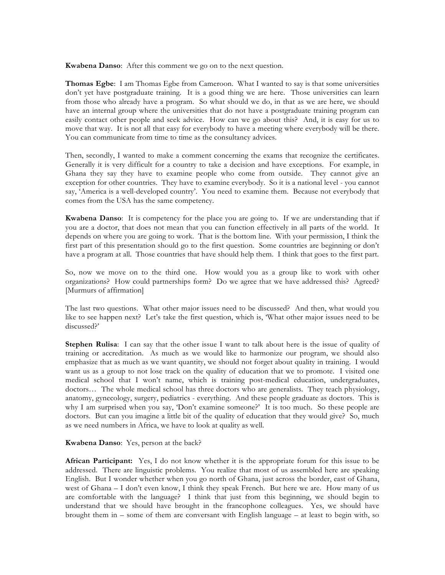**Kwabena Danso**: After this comment we go on to the next question.

**Thomas Egbe**: I am Thomas Egbe from Cameroon. What I wanted to say is that some universities don't yet have postgraduate training. It is a good thing we are here. Those universities can learn from those who already have a program. So what should we do, in that as we are here, we should have an internal group where the universities that do not have a postgraduate training program can easily contact other people and seek advice. How can we go about this? And, it is easy for us to move that way. It is not all that easy for everybody to have a meeting where everybody will be there. You can communicate from time to time as the consultancy advices.

Then, secondly, I wanted to make a comment concerning the exams that recognize the certificates. Generally it is very difficult for a country to take a decision and have exceptions. For example, in Ghana they say they have to examine people who come from outside. They cannot give an exception for other countries. They have to examine everybody. So it is a national level - you cannot say, 'America is a well-developed country'. You need to examine them. Because not everybody that comes from the USA has the same competency.

**Kwabena Danso**: It is competency for the place you are going to. If we are understanding that if you are a doctor, that does not mean that you can function effectively in all parts of the world. It depends on where you are going to work. That is the bottom line. With your permission, I think the first part of this presentation should go to the first question. Some countries are beginning or don't have a program at all. Those countries that have should help them. I think that goes to the first part.

So, now we move on to the third one. How would you as a group like to work with other organizations? How could partnerships form? Do we agree that we have addressed this? Agreed? [Murmurs of affirmation]

The last two questions. What other major issues need to be discussed? And then, what would you like to see happen next? Let's take the first question, which is, 'What other major issues need to be discussed?'

**Stephen Rulisa**: I can say that the other issue I want to talk about here is the issue of quality of training or accreditation. As much as we would like to harmonize our program, we should also emphasize that as much as we want quantity, we should not forget about quality in training. I would want us as a group to not lose track on the quality of education that we to promote. I visited one medical school that I won't name, which is training post-medical education, undergraduates, doctors… The whole medical school has three doctors who are generalists. They teach physiology, anatomy, gynecology, surgery, pediatrics - everything. And these people graduate as doctors. This is why I am surprised when you say, 'Don't examine someone?' It is too much. So these people are doctors. But can you imagine a little bit of the quality of education that they would give? So, much as we need numbers in Africa, we have to look at quality as well.

#### **Kwabena Danso**: Yes, person at the back?

**African Participant:** Yes, I do not know whether it is the appropriate forum for this issue to be addressed. There are linguistic problems. You realize that most of us assembled here are speaking English. But I wonder whether when you go north of Ghana, just across the border, east of Ghana, west of Ghana – I don't even know, I think they speak French. But here we are. How many of us are comfortable with the language? I think that just from this beginning, we should begin to understand that we should have brought in the francophone colleagues. Yes, we should have brought them in – some of them are conversant with English language – at least to begin with, so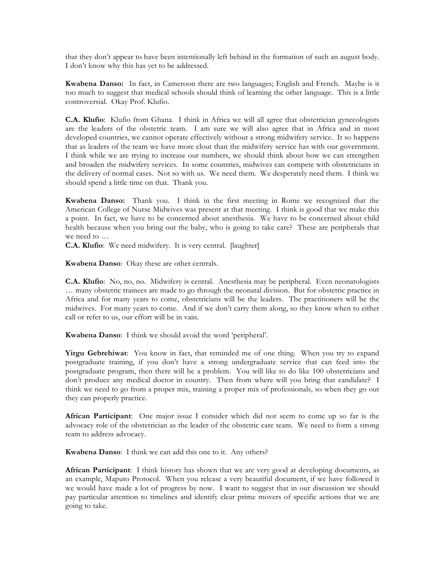that they don't appear to have been intentionally left behind in the formation of such an august body. I don't know why this has yet to be addressed.

**Kwabena Danso:** In fact, in Cameroon there are two languages; English and French. Maybe is it too much to suggest that medical schools should think of learning the other language. This is a little controversial. Okay Prof. Klufio.

**C.A. Klufio**: Klufio from Ghana. I think in Africa we will all agree that obstetrician gynecologists are the leaders of the obstetric team. I am sure we will also agree that in Africa and in most developed countries, we cannot operate effectively without a strong midwifery service. It so happens that as leaders of the team we have more clout than the midwifery service has with our government. I think while we are trying to increase our numbers, we should think about how we can strengthen and broaden the midwifery services. In some countries, midwives can compete with obstetricians in the delivery of normal cases. Not so with us. We need them. We desperately need them. I think we should spend a little time on that. Thank you.

**Kwabena Danso:** Thank you. I think in the first meeting in Rome we recognized that the American College of Nurse Midwives was present at that meeting. I think is good that we make this a point. In fact, we have to be concerned about anesthesia. We have to be concerned about child health because when you bring out the baby, who is going to take care? These are peripherals that we need to …

**C.A. Klufio**: We need midwifery. It is very central. [laughter]

**Kwabena Danso**: Okay these are other centrals.

**C.A. Klufio**: No, no, no. Midwifery is central. Anesthesia may be peripheral. Even neonatologists … many obstetric trainees are made to go through the neonatal division. But for obstetric practice in Africa and for many years to come, obstetricians will be the leaders. The practitioners will be the midwives. For many years to come. And if we don't carry them along, so they know when to either call or refer to us, our effort will be in vain.

**Kwabena Danso**: I think we should avoid the word 'peripheral'.

**Yirgu Gebrehiwat**: You know in fact, that reminded me of one thing. When you try to expand postgraduate training, if you don't have a strong undergraduate service that can feed into the postgraduate program, then there will be a problem. You will like to do like 100 obstetricians and don't produce any medical doctor in country. Then from where will you bring that candidate? I think we need to go from a proper mix, training a proper mix of professionals, so when they go out they can properly practice.

**African Participant**: One major issue I consider which did not seem to come up so far is the advocacy role of the obstetrician as the leader of the obstetric care team. We need to form a strong team to address advocacy.

**Kwabena Danso**: I think we can add this one to it. Any others?

**African Participant**: I think history has shown that we are very good at developing documents, as an example, Maputo Protocol. When you release a very beautiful document, if we have followed it we would have made a lot of progress by now. I want to suggest that in our discussion we should pay particular attention to timelines and identify clear prime movers of specific actions that we are going to take.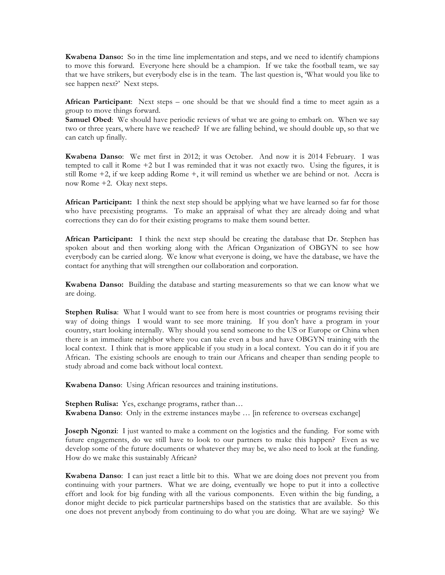**Kwabena Danso:** So in the time line implementation and steps, and we need to identify champions to move this forward. Everyone here should be a champion. If we take the football team, we say that we have strikers, but everybody else is in the team. The last question is, 'What would you like to see happen next?' Next steps.

**African Participant**: Next steps – one should be that we should find a time to meet again as a group to move things forward.

**Samuel Obed:** We should have periodic reviews of what we are going to embark on. When we say two or three years, where have we reached? If we are falling behind, we should double up, so that we can catch up finally.

**Kwabena Danso**: We met first in 2012; it was October. And now it is 2014 February. I was tempted to call it Rome +2 but I was reminded that it was not exactly two. Using the figures, it is still Rome +2, if we keep adding Rome +, it will remind us whether we are behind or not. Accra is now Rome +2. Okay next steps.

**African Participant:** I think the next step should be applying what we have learned so far for those who have preexisting programs. To make an appraisal of what they are already doing and what corrections they can do for their existing programs to make them sound better.

**African Participant:** I think the next step should be creating the database that Dr. Stephen has spoken about and then working along with the African Organization of OBGYN to see how everybody can be carried along. We know what everyone is doing, we have the database, we have the contact for anything that will strengthen our collaboration and corporation.

**Kwabena Danso:** Building the database and starting measurements so that we can know what we are doing.

**Stephen Rulisa**: What I would want to see from here is most countries or programs revising their way of doing things I would want to see more training. If you don't have a program in your country, start looking internally. Why should you send someone to the US or Europe or China when there is an immediate neighbor where you can take even a bus and have OBGYN training with the local context. I think that is more applicable if you study in a local context. You can do it if you are African. The existing schools are enough to train our Africans and cheaper than sending people to study abroad and come back without local context.

**Kwabena Danso**: Using African resources and training institutions.

**Stephen Rulisa:** Yes, exchange programs, rather than… **Kwabena Danso**: Only in the extreme instances maybe … [in reference to overseas exchange]

**Joseph Ngonzi**: I just wanted to make a comment on the logistics and the funding. For some with future engagements, do we still have to look to our partners to make this happen? Even as we develop some of the future documents or whatever they may be, we also need to look at the funding. How do we make this sustainably African?

**Kwabena Danso**: I can just react a little bit to this. What we are doing does not prevent you from continuing with your partners. What we are doing, eventually we hope to put it into a collective effort and look for big funding with all the various components. Even within the big funding, a donor might decide to pick particular partnerships based on the statistics that are available. So this one does not prevent anybody from continuing to do what you are doing. What are we saying? We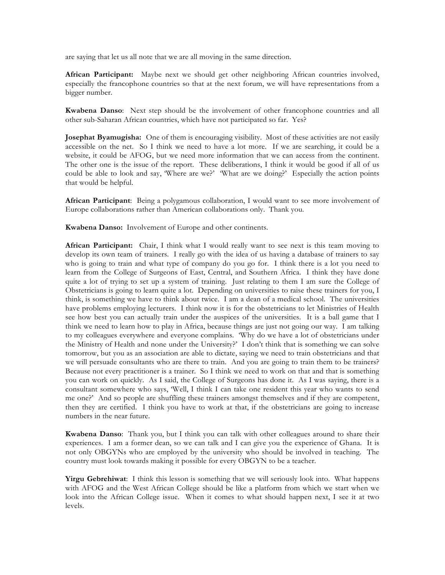are saying that let us all note that we are all moving in the same direction.

**African Participant:** Maybe next we should get other neighboring African countries involved, especially the francophone countries so that at the next forum, we will have representations from a bigger number.

**Kwabena Danso**: Next step should be the involvement of other francophone countries and all other sub-Saharan African countries, which have not participated so far. Yes?

**Josephat Byamugisha:** One of them is encouraging visibility. Most of these activities are not easily accessible on the net. So I think we need to have a lot more. If we are searching, it could be a website, it could be AFOG, but we need more information that we can access from the continent. The other one is the issue of the report. These deliberations, I think it would be good if all of us could be able to look and say, 'Where are we?' 'What are we doing?' Especially the action points that would be helpful.

**African Participant**: Being a polygamous collaboration, I would want to see more involvement of Europe collaborations rather than American collaborations only. Thank you.

**Kwabena Danso:** Involvement of Europe and other continents.

**African Participant:** Chair, I think what I would really want to see next is this team moving to develop its own team of trainers. I really go with the idea of us having a database of trainers to say who is going to train and what type of company do you go for. I think there is a lot you need to learn from the College of Surgeons of East, Central, and Southern Africa. I think they have done quite a lot of trying to set up a system of training. Just relating to them I am sure the College of Obstetricians is going to learn quite a lot. Depending on universities to raise these trainers for you, I think, is something we have to think about twice. I am a dean of a medical school. The universities have problems employing lecturers. I think now it is for the obstetricians to let Ministries of Health see how best you can actually train under the auspices of the universities. It is a ball game that I think we need to learn how to play in Africa, because things are just not going our way. I am talking to my colleagues everywhere and everyone complains. 'Why do we have a lot of obstetricians under the Ministry of Health and none under the University?' I don't think that is something we can solve tomorrow, but you as an association are able to dictate, saying we need to train obstetricians and that we will persuade consultants who are there to train. And you are going to train them to be trainers? Because not every practitioner is a trainer. So I think we need to work on that and that is something you can work on quickly. As I said, the College of Surgeons has done it. As I was saying, there is a consultant somewhere who says, 'Well, I think I can take one resident this year who wants to send me one?' And so people are shuffling these trainers amongst themselves and if they are competent, then they are certified. I think you have to work at that, if the obstetricians are going to increase numbers in the near future.

**Kwabena Danso**: Thank you, but I think you can talk with other colleagues around to share their experiences. I am a former dean, so we can talk and I can give you the experience of Ghana. It is not only OBGYNs who are employed by the university who should be involved in teaching. The country must look towards making it possible for every OBGYN to be a teacher.

**Yirgu Gebrehiwat**: I think this lesson is something that we will seriously look into. What happens with AFOG and the West African College should be like a platform from which we start when we look into the African College issue. When it comes to what should happen next, I see it at two levels.